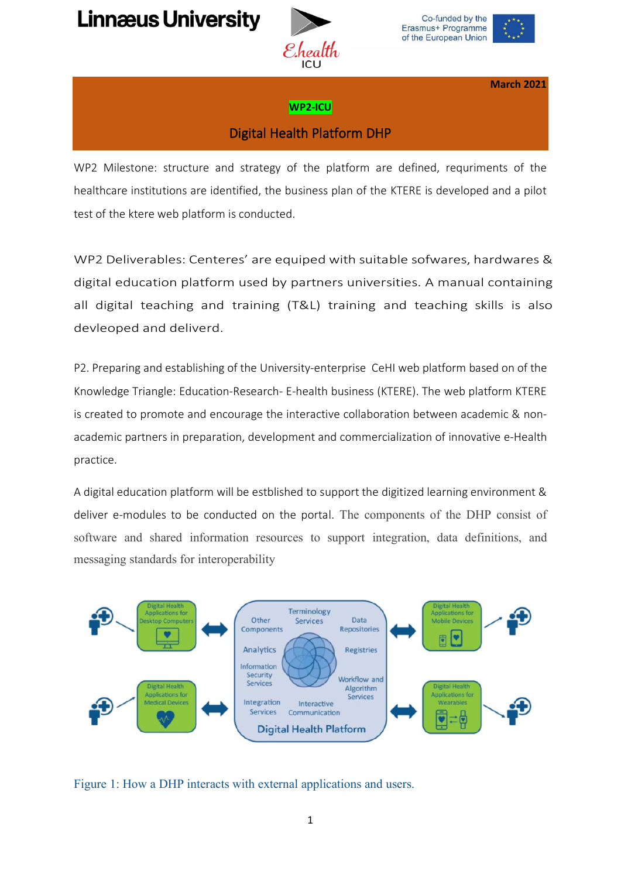## **Linnæus University**



Co-funded by the Erasmus+ Programme of the European Union



**March 2021**

## **WP2-ICU**

## Digital Health Platform DHP

WP2 Milestone: structure and strategy of the platform are defined, requriments of the healthcare institutions are identified, the business plan of the KTERE is developed and a pilot test of the ktere web platform is conducted.

WP2 Deliverables: Centeres' are equiped with suitable sofwares, hardwares & digital education platform used by partners universities. A manual containing all digital teaching and training (T&L) training and teaching skills is also devleoped and deliverd.

P2. Preparing and establishing of the University-enterprise CeHI web platform based on of the Knowledge Triangle: Education-Research- E-health business (KTERE). The web platform KTERE is created to promote and encourage the interactive collaboration between academic & nonacademic partners in preparation, development and commercialization of innovative e-Health practice.

A digital education platform will be estblished to support the digitized learning environment & deliver e-modules to be conducted on the portal. The components of the DHP consist of software and shared information resources to support integration, data definitions, and messaging standards for interoperability



Figure 1: How a DHP interacts with external applications and users.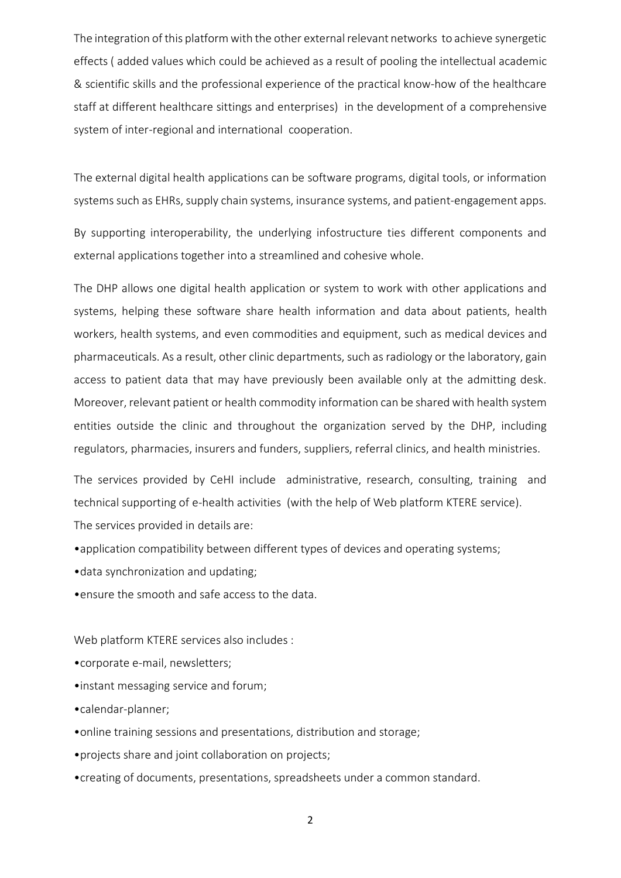The integration of this platform with the other external relevant networks to achieve synergetic effects ( added values which could be achieved as a result of pooling the intellectual academic & scientific skills and the professional experience of the practical know-how of the healthcare staff at different healthcare sittings and enterprises) in the development of a comprehensive system of inter-regional and international cooperation.

The external digital health applications can be software programs, digital tools, or information systems such as EHRs, supply chain systems, insurance systems, and patient-engagement apps.

By supporting interoperability, the underlying infostructure ties different components and external applications together into a streamlined and cohesive whole.

The DHP allows one digital health application or system to work with other applications and systems, helping these software share health information and data about patients, health workers, health systems, and even commodities and equipment, such as medical devices and pharmaceuticals. As a result, other clinic departments, such as radiology or the laboratory, gain access to patient data that may have previously been available only at the admitting desk. Moreover, relevant patient or health commodity information can be shared with health system entities outside the clinic and throughout the organization served by the DHP, including regulators, pharmacies, insurers and funders, suppliers, referral clinics, and health ministries.

The services provided by CeHI include administrative, research, consulting, training and technical supporting of e-health activities (with the help of Web platform KTERE service). The services provided in details are:

•application compatibility between different types of devices and operating systems;

•data synchronization and updating;

•ensure the smooth and safe access to the data.

Web platform KTERE services also includes :

•corporate e-mail, newsletters;

•instant messaging service and forum;

•calendar-planner;

•online training sessions and presentations, distribution and storage;

•projects share and joint collaboration on projects;

•creating of documents, presentations, spreadsheets under a common standard.

2